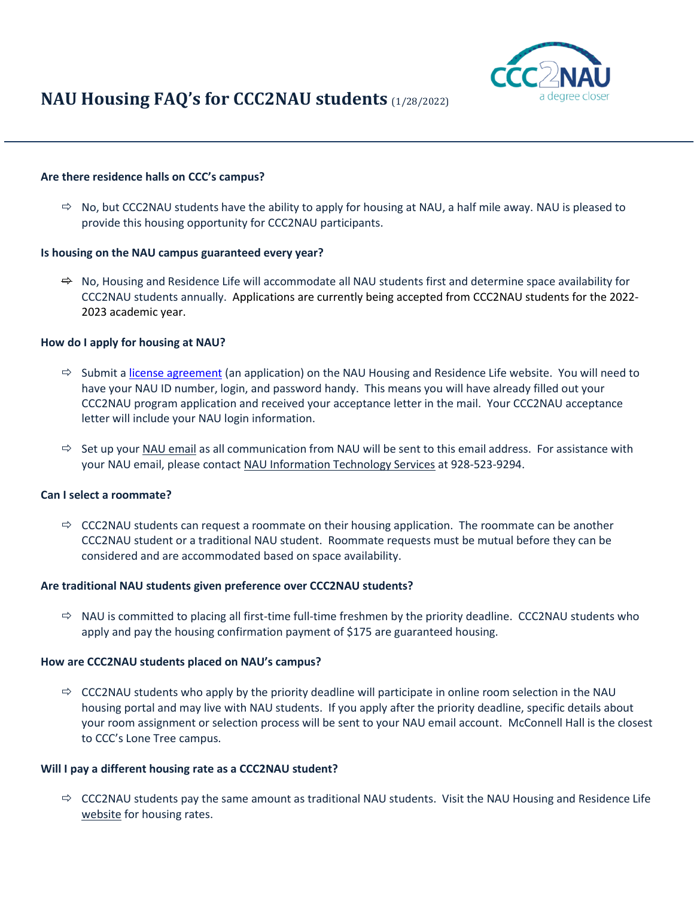

# **NAU Housing FAQ's for CCC2NAU students** (1/28/2022)

# **Are there residence halls on CCC's campus?**

 $\Rightarrow$  No, but CCC2NAU students have the ability to apply for housing at NAU, a half mile away. NAU is pleased to provide this housing opportunity for CCC2NAU participants.

## **Is housing on the NAU campus guaranteed every year?**

 $\Rightarrow$  No, Housing and Residence Life will accommodate all NAU students first and determine space availability for CCC2NAU students annually. Applications are currently being accepted from CCC2NAU students for the 2022- 2023 academic year.

## **How do I apply for housing at NAU?**

- $\Rightarrow$  Submit a [license agreement](https://nau.edu/reslife/ccc2nau-students/) (an application) on the NAU Housing and Residence Life website. You will need to have your NAU ID number, login, and password handy. This means you will have already filled out your CCC2NAU program application and received your acceptance letter in the mail. Your CCC2NAU acceptance letter will include your NAU login information.
- $\Rightarrow$  Set up you[r NAU email](https://in.nau.edu/its/google/) as all communication from NAU will be sent to this email address. For assistance with your NAU email, please contact [NAU Information Technology Services](https://in.nau.edu/its/students/) at 928-523-9294.

## **Can I select a roommate?**

 $\Rightarrow$  CCC2NAU students can request a roommate on their housing application. The roommate can be another CCC2NAU student or a traditional NAU student. Roommate requests must be mutual before they can be considered and are accommodated based on space availability.

## **Are traditional NAU students given preference over CCC2NAU students?**

 $\Rightarrow$  NAU is committed to placing all first-time full-time freshmen by the priority deadline. CCC2NAU students who apply and pay the housing confirmation payment of \$175 are guaranteed housing.

## **How are CCC2NAU students placed on NAU's campus?**

 $\Rightarrow$  CCC2NAU students who apply by the priority deadline will participate in online room selection in the NAU housing portal and may live with NAU students. If you apply after the priority deadline, specific details about your room assignment or selection process will be sent to your NAU email account. McConnell Hall is the closest to CCC's Lone Tree campus.

## **Will I pay a different housing rate as a CCC2NAU student?**

 $\Rightarrow$  CCC2NAU students pay the same amount as traditional NAU students. Visit the NAU Housing and Residence Life [website](https://nau.edu/Residence-Life/) for housing rates.